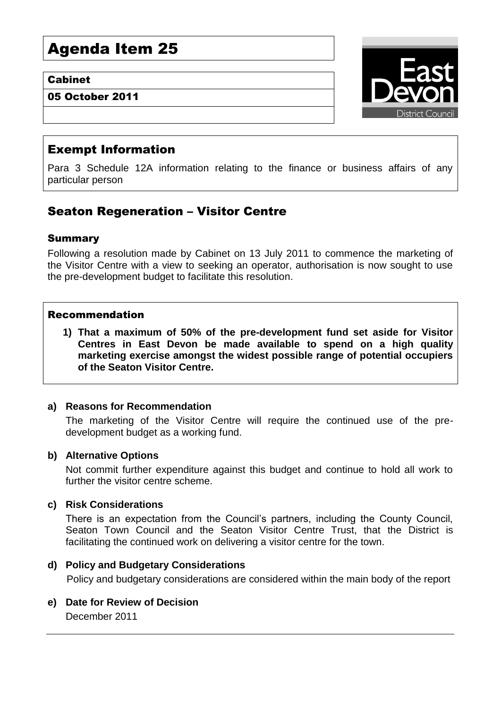# Agenda Item 25

## Cabinet

05 October 2011



## Exempt Information

Para 3 Schedule 12A information relating to the finance or business affairs of any particular person

# Seaton Regeneration – Visitor Centre

## Summary

Following a resolution made by Cabinet on 13 July 2011 to commence the marketing of the Visitor Centre with a view to seeking an operator, authorisation is now sought to use the pre-development budget to facilitate this resolution.

#### Recommendation

**1) That a maximum of 50% of the pre-development fund set aside for Visitor Centres in East Devon be made available to spend on a high quality marketing exercise amongst the widest possible range of potential occupiers of the Seaton Visitor Centre.**

#### **a) Reasons for Recommendation**

The marketing of the Visitor Centre will require the continued use of the predevelopment budget as a working fund.

#### **b) Alternative Options**

Not commit further expenditure against this budget and continue to hold all work to further the visitor centre scheme.

#### **c) Risk Considerations**

There is an expectation from the Council's partners, including the County Council, Seaton Town Council and the Seaton Visitor Centre Trust, that the District is facilitating the continued work on delivering a visitor centre for the town.

#### **d) Policy and Budgetary Considerations**

Policy and budgetary considerations are considered within the main body of the report

**e) Date for Review of Decision** December 2011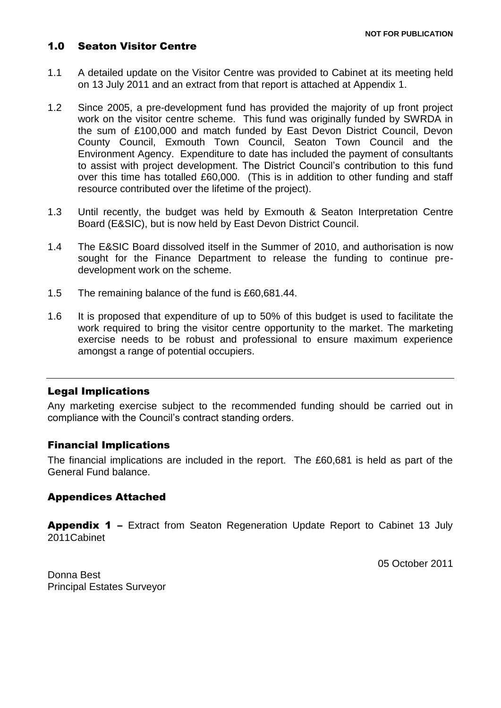## 1.0 Seaton Visitor Centre

- 1.1 A detailed update on the Visitor Centre was provided to Cabinet at its meeting held on 13 July 2011 and an extract from that report is attached at Appendix 1.
- 1.2 Since 2005, a pre-development fund has provided the majority of up front project work on the visitor centre scheme. This fund was originally funded by SWRDA in the sum of £100,000 and match funded by East Devon District Council, Devon County Council, Exmouth Town Council, Seaton Town Council and the Environment Agency. Expenditure to date has included the payment of consultants to assist with project development. The District Council's contribution to this fund over this time has totalled £60,000. (This is in addition to other funding and staff resource contributed over the lifetime of the project).
- 1.3 Until recently, the budget was held by Exmouth & Seaton Interpretation Centre Board (E&SIC), but is now held by East Devon District Council.
- 1.4 The E&SIC Board dissolved itself in the Summer of 2010, and authorisation is now sought for the Finance Department to release the funding to continue predevelopment work on the scheme.
- 1.5 The remaining balance of the fund is £60,681.44.
- 1.6 It is proposed that expenditure of up to 50% of this budget is used to facilitate the work required to bring the visitor centre opportunity to the market. The marketing exercise needs to be robust and professional to ensure maximum experience amongst a range of potential occupiers.

#### Legal Implications

Any marketing exercise subject to the recommended funding should be carried out in compliance with the Council's contract standing orders.

#### Financial Implications

The financial implications are included in the report. The £60,681 is held as part of the General Fund balance.

#### Appendices Attached

Appendix 1 – Extract from Seaton Regeneration Update Report to Cabinet 13 July 2011Cabinet

05 October 2011

Donna Best Principal Estates Surveyor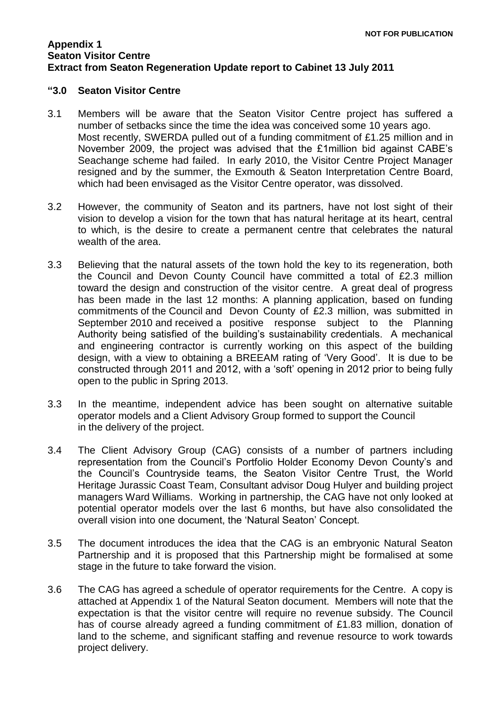#### **Appendix 1 Seaton Visitor Centre Extract from Seaton Regeneration Update report to Cabinet 13 July 2011**

#### **"3.0 Seaton Visitor Centre**

- 3.1 Members will be aware that the Seaton Visitor Centre project has suffered a number of setbacks since the time the idea was conceived some 10 years ago. Most recently, SWERDA pulled out of a funding commitment of £1.25 million and in November 2009, the project was advised that the £1million bid against CABE's Seachange scheme had failed. In early 2010, the Visitor Centre Project Manager resigned and by the summer, the Exmouth & Seaton Interpretation Centre Board, which had been envisaged as the Visitor Centre operator, was dissolved.
- 3.2 However, the community of Seaton and its partners, have not lost sight of their vision to develop a vision for the town that has natural heritage at its heart, central to which, is the desire to create a permanent centre that celebrates the natural wealth of the area.
- 3.3 Believing that the natural assets of the town hold the key to its regeneration, both the Council and Devon County Council have committed a total of £2.3 million toward the design and construction of the visitor centre. A great deal of progress has been made in the last 12 months: A planning application, based on funding commitments of the Council and Devon County of £2.3 million, was submitted in September 2010 and received a positive response subject to the Planning Authority being satisfied of the building's sustainability credentials. A mechanical and engineering contractor is currently working on this aspect of the building design, with a view to obtaining a BREEAM rating of 'Very Good'. It is due to be constructed through 2011 and 2012, with a 'soft' opening in 2012 prior to being fully open to the public in Spring 2013.
- 3.3 In the meantime, independent advice has been sought on alternative suitable operator models and a Client Advisory Group formed to support the Council in the delivery of the project.
- 3.4 The Client Advisory Group (CAG) consists of a number of partners including representation from the Council's Portfolio Holder Economy Devon County's and the Council's Countryside teams, the Seaton Visitor Centre Trust, the World Heritage Jurassic Coast Team, Consultant advisor Doug Hulyer and building project managers Ward Williams. Working in partnership, the CAG have not only looked at potential operator models over the last 6 months, but have also consolidated the overall vision into one document, the 'Natural Seaton' Concept.
- 3.5 The document introduces the idea that the CAG is an embryonic Natural Seaton Partnership and it is proposed that this Partnership might be formalised at some stage in the future to take forward the vision.
- 3.6 The CAG has agreed a schedule of operator requirements for the Centre. A copy is attached at Appendix 1 of the Natural Seaton document. Members will note that the expectation is that the visitor centre will require no revenue subsidy. The Council has of course already agreed a funding commitment of £1.83 million, donation of land to the scheme, and significant staffing and revenue resource to work towards project delivery.